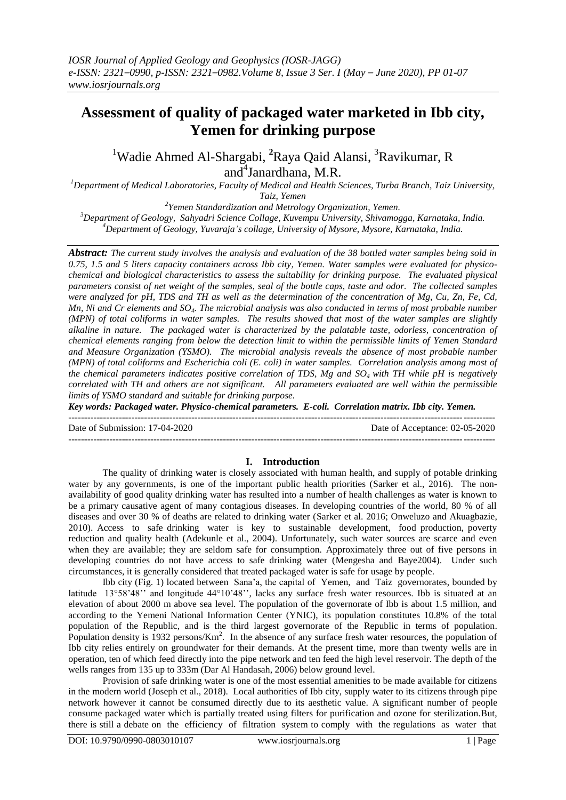# **Assessment of quality of packaged water marketed in Ibb city, Yemen for drinking purpose**

<sup>1</sup>Wadie Ahmed Al-Shargabi, <sup>2</sup>Raya Qaid Alansi, <sup>3</sup>Ravikumar, R and<sup>4</sup>Janardhana, M.R.

*<sup>1</sup>Department of Medical Laboratories, Faculty of Medical and Health Sciences, Turba Branch, Taiz University, Taiz, Yemen*

*2 Yemen Standardization and Metrology Organization, Yemen. <sup>3</sup>Department of Geology, Sahyadri Science Collage, Kuvempu University, Shivamogga, Karnataka, India. <sup>4</sup>Department of Geology, Yuvaraja's collage, University of Mysore, Mysore, Karnataka, India.*

*Abstract: The current study involves the analysis and evaluation of the 38 bottled water samples being sold in 0.75, 1.5 and 5 liters capacity containers across Ibb city, Yemen. Water samples were evaluated for physicochemical and biological characteristics to assess the suitability for drinking purpose. The evaluated physical parameters consist of net weight of the samples, seal of the bottle caps, taste and odor. The collected samples were analyzed for pH, TDS and TH as well as the determination of the concentration of Mg, Cu, Zn, Fe, Cd, Mn, Ni and Cr elements and SO4. The microbial analysis was also conducted in terms of most probable number (MPN) of total coliforms in water samples. The results showed that most of the water samples are slightly alkaline in nature. The packaged water is characterized by the palatable taste, odorless, concentration of chemical elements ranging from below the detection limit to within the permissible limits of Yemen Standard and Measure Organization (YSMO). The microbial analysis reveals the absence of most probable number (MPN) of total coliforms and Escherichia coli (E. coli) in water samples. Correlation analysis among most of the chemical parameters indicates positive correlation of TDS, Mg and SO<sup>4</sup> with TH while pH is negatively correlated with TH and others are not significant. All parameters evaluated are well within the permissible limits of YSMO standard and suitable for drinking purpose.*

*Key words: Packaged water. Physico-chemical parameters. E-coli. Correlation matrix. Ibb city. Yemen.*  $-1\leq i\leq n-1\leq n-1\leq n-1\leq n-1\leq n-1\leq n-1\leq n-1\leq n-1\leq n-1\leq n-1\leq n-1\leq n-1\leq n-1\leq n-1\leq n-1\leq n-1\leq n-1\leq n-1\leq n-1\leq n-1\leq n-1\leq n-1\leq n-1\leq n-1\leq n-1\leq n-1\leq n-1\leq n-1\leq n-1\leq n-1\leq n-1\leq n-1\leq n-1\leq n-1\leq n-1\leq n$ 

Date of Submission: 17-04-2020 Date of Acceptance: 02-05-2020 ---------------------------------------------------------------------------------------------------------------------------------------

# **I. Introduction**

The quality of drinking water is closely associated with human health, and supply of potable drinking water by any governments, is one of the important public health priorities (Sarker et al., 2016). The nonavailability of good quality drinking water has resulted into a number of health challenges as water is known to be a primary causative agent of many contagious diseases. In developing countries of the world, 80 % of all diseases and over 30 % of deaths are related to drinking water (Sarker et al. 2016; Onweluzo and Akuagbazie, 2010). Access to safe drinking water is key to sustainable development, food production, poverty reduction and quality health (Adekunle et al., 2004). Unfortunately, such water sources are scarce and even when they are available; they are seldom safe for consumption. Approximately three out of five persons in developing countries do not have access to safe drinking water (Mengesha and Baye2004). Under such circumstances, it is generally considered that treated packaged water is safe for usage by people.

Ibb city (Fig. 1) located between Sana'a, the capital of Yemen, and Taiz governorates, bounded by latitude 13°58'48'' and longitude 44°10'48'', lacks any surface fresh water resources. Ibb is situated at an elevation of about 2000 m above sea level. The population of the governorate of Ibb is about 1.5 million, and according to the Yemeni National Information Center (YNIC), its population constitutes 10.8% of the total population of the Republic, and is the third largest governorate of the Republic in terms of population. Population density is 1932 persons/ $Km^2$ . In the absence of any surface fresh water resources, the population of Ibb city relies entirely on groundwater for their demands. At the present time, more than twenty wells are in operation, ten of which feed directly into the pipe network and ten feed the high level reservoir. The depth of the wells ranges from 135 up to 333m (Dar Al Handasah, 2006) below ground level.

Provision of safe drinking water is one of the most essential amenities to be made available for citizens in the modern world (Joseph et al., 2018). Local authorities of Ibb city, supply water to its citizens through pipe network however it cannot be consumed directly due to its aesthetic value. A significant number of people consume packaged water which is partially treated using filters for purification and ozone for sterilization.But, there is still a debate on the efficiency of filtration system to comply with the regulations as water that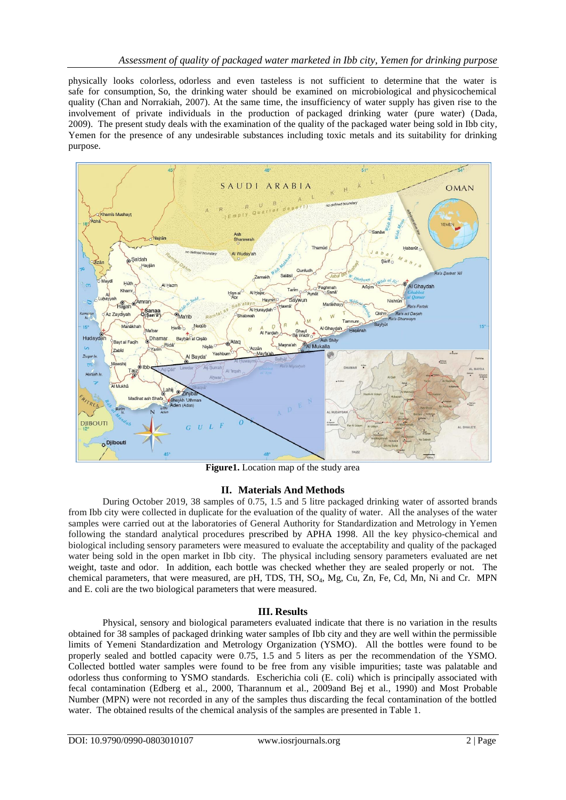physically looks colorless, odorless and even tasteless is not sufficient to determine that the water is safe for consumption, So, the drinking water should be examined on microbiological and physicochemical quality (Chan and Norrakiah, 2007). At the same time, the insufficiency of water supply has given rise to the involvement of private individuals in the production of packaged drinking water (pure water) (Dada, 2009). The present study deals with the examination of the quality of the packaged water being sold in Ibb city, Yemen for the presence of any undesirable substances including toxic metals and its suitability for drinking purpose.



**Figure1.** Location map of the study area

## **II. Materials And Methods**

During October 2019, 38 samples of 0.75, 1.5 and 5 litre packaged drinking water of assorted brands from Ibb city were collected in duplicate for the evaluation of the quality of water. All the analyses of the water samples were carried out at the laboratories of General Authority for Standardization and Metrology in Yemen following the standard analytical procedures prescribed by APHA 1998. All the key physico-chemical and biological including sensory parameters were measured to evaluate the acceptability and quality of the packaged water being sold in the open market in Ibb city. The physical including sensory parameters evaluated are net weight, taste and odor. In addition, each bottle was checked whether they are sealed properly or not. The chemical parameters, that were measured, are pH, TDS, TH, SO4, Mg, Cu, Zn, Fe, Cd, Mn, Ni and Cr. MPN and E. coli are the two biological parameters that were measured.

## **III. Results**

Physical, sensory and biological parameters evaluated indicate that there is no variation in the results obtained for 38 samples of packaged drinking water samples of Ibb city and they are well within the permissible limits of Yemeni Standardization and Metrology Organization (YSMO). All the bottles were found to be properly sealed and bottled capacity were 0.75, 1.5 and 5 liters as per the recommendation of the YSMO. Collected bottled water samples were found to be free from any visible impurities; taste was palatable and odorless thus conforming to YSMO standards. Escherichia coli (E. coli) which is principally associated with fecal contamination (Edberg et al., 2000, Tharannum et al., 2009and Bej et al., 1990) and Most Probable Number (MPN) were not recorded in any of the samples thus discarding the fecal contamination of the bottled water. The obtained results of the chemical analysis of the samples are presented in Table 1.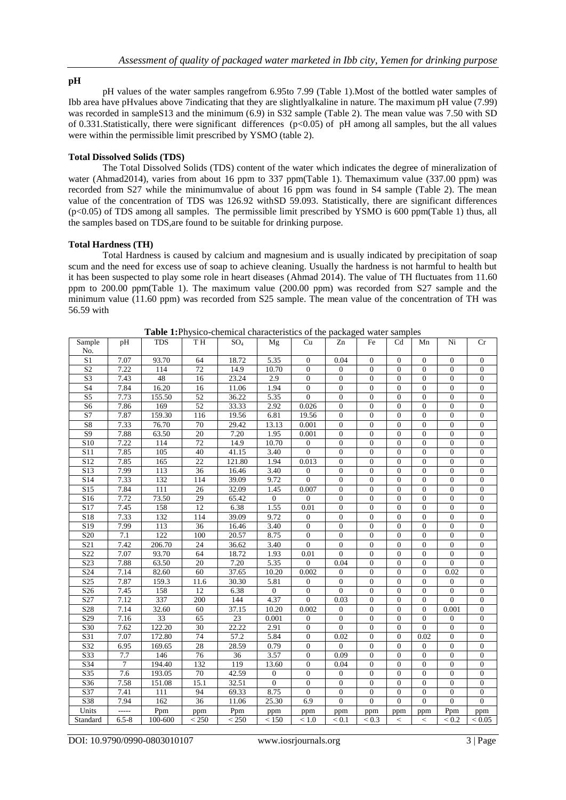## **pH**

pH values of the water samples rangefrom 6.95to 7.99 (Table 1).Most of the bottled water samples of Ibb area have pHvalues above 7indicating that they are slightlyalkaline in nature. The maximum pH value (7.99) was recorded in sampleS13 and the minimum (6.9) in S32 sample (Table 2). The mean value was 7.50 with SD of 0.331.Statistically, there were significant differences (p<0.05) of pH among all samples, but the all values were within the permissible limit prescribed by YSMO (table 2).

## **Total Dissolved Solids (TDS)**

The Total Dissolved Solids (TDS) content of the water which indicates the degree of mineralization of water (Ahmad2014), varies from about 16 ppm to 337 ppm(Table 1). Themaximum value (337.00 ppm) was recorded from S27 while the minimumvalue of about 16 ppm was found in S4 sample (Table 2). The mean value of the concentration of TDS was 126.92 withSD 59.093. Statistically, there are significant differences (p<0.05) of TDS among all samples. The permissible limit prescribed by YSMO is 600 ppm(Table 1) thus, all the samples based on TDS,are found to be suitable for drinking purpose.

## **Total Hardness (TH)**

Total Hardness is caused by calcium and magnesium and is usually indicated by precipitation of soap scum and the need for excess use of soap to achieve cleaning. Usually the hardness is not harmful to health but it has been suspected to play some role in heart diseases (Ahmad 2014). The value of TH fluctuates from 11.60 ppm to 200.00 ppm(Table 1). The maximum value (200.00 ppm) was recorded from S27 sample and the minimum value (11.60 ppm) was recorded from S25 sample. The mean value of the concentration of TH was 56.59 with

| Sample                         | pH             | <b>TDS</b> | TH <sub>I</sub> | SO <sub>4</sub> | Mg             | Cu               | Zn               | Fe             | Cd               | Mn                       | Ni             | Cr               |
|--------------------------------|----------------|------------|-----------------|-----------------|----------------|------------------|------------------|----------------|------------------|--------------------------|----------------|------------------|
| No.                            |                |            |                 |                 |                |                  |                  |                |                  |                          |                |                  |
| $\overline{S1}$                | 7.07           | 93.70      | 64              | 18.72           | 5.35           | $\mathbf{0}$     | 0.04             | $\Omega$       | $\overline{0}$   | $\overline{0}$           | $\Omega$       | $\overline{0}$   |
| S <sub>2</sub>                 | 7.22           | 114        | 72              | 14.9            | 10.70          | $\overline{0}$   | $\mathbf{0}$     | $\overline{0}$ | $\theta$         | $\overline{0}$           | $\overline{0}$ | $\boldsymbol{0}$ |
| $\overline{S3}$                | 7.43           | 48         | 16              | 23.24           | 2.9            | $\overline{0}$   | $\mathbf{0}$     | $\Omega$       | $\overline{0}$   | $\overline{0}$           | $\mathbf{0}$   | $\boldsymbol{0}$ |
| $\overline{S4}$                | 7.84           | 16.20      | 16              | 11.06           | 1.94           | $\overline{0}$   | $\Omega$         | $\theta$       | $\theta$         | $\overline{0}$           | $\theta$       | $\overline{0}$   |
| $\overline{\text{S5}}$         | 7.73           | 155.50     | $\overline{52}$ | 36.22           | 5.35           | $\overline{0}$   | $\overline{0}$   | $\Omega$       | $\overline{0}$   | $\overline{0}$           | $\theta$       | $\boldsymbol{0}$ |
| S <sub>6</sub>                 | 7.86           | 169        | 52              | 33.33           | 2.92           | 0.026            | $\mathbf{0}$     | $\overline{0}$ | $\overline{0}$   | $\boldsymbol{0}$         | $\mathbf{0}$   | $\boldsymbol{0}$ |
| S <sub>7</sub>                 | 7.87           | 159.30     | 116             | 19.56           | 6.81           | 19.56            | $\mathbf{0}$     | $\overline{0}$ | $\overline{0}$   | $\boldsymbol{0}$         | $\overline{0}$ | $\boldsymbol{0}$ |
| $\overline{S8}$                | 7.33           | 76.70      | 70              | 29.42           | 13.13          | 0.001            | $\overline{0}$   | $\theta$       | $\overline{0}$   | $\overline{0}$           | $\overline{0}$ | $\boldsymbol{0}$ |
| $\overline{S9}$                | 7.88           | 63.50      | 20              | 7.20            | 1.95           | 0.001            | $\mathbf{0}$     | $\Omega$       | $\overline{0}$   | $\overline{0}$           | $\overline{0}$ | $\boldsymbol{0}$ |
| $\overline{S10}$               | 7.22           | 114        | $\overline{72}$ | 14.9            | 10.70          | $\mathbf{0}$     | $\mathbf{0}$     | $\overline{0}$ | $\overline{0}$   | $\boldsymbol{0}$         | $\overline{0}$ | $\boldsymbol{0}$ |
| $\overline{S11}$               | 7.85           | 105        | 40              | 41.15           | 3.40           | $\overline{0}$   | $\mathbf{0}$     | $\overline{0}$ | $\overline{0}$   | $\boldsymbol{0}$         | $\mathbf{0}$   | $\boldsymbol{0}$ |
| $\overline{$}$ S12             | 7.85           | 165        | $\overline{22}$ | 121.80          | 1.94           | 0.013            | $\overline{0}$   | $\overline{0}$ | $\overline{0}$   | $\boldsymbol{0}$         | $\overline{0}$ | $\boldsymbol{0}$ |
| $\overline{S13}$               | 7.99           | 113        | 36              | 16.46           | 3.40           | $\overline{0}$   | $\Omega$         | $\theta$       | $\theta$         | $\overline{0}$           | $\theta$       | $\overline{0}$   |
| $\overline{S14}$               | 7.33           | 132        | 114             | 39.09           | 9.72           | $\theta$         | $\overline{0}$   | $\overline{0}$ | $\overline{0}$   | $\overline{0}$           | $\overline{0}$ | $\overline{0}$   |
| S15                            | 7.84           | 111        | 26              | 32.09           | 1.45           | 0.007            | $\mathbf{0}$     | $\Omega$       | $\theta$         | $\boldsymbol{0}$         | $\Omega$       | $\boldsymbol{0}$ |
| S <sub>16</sub>                | 7.72           | 73.50      | 29              | 65.42           | $\mathbf{0}$   | $\boldsymbol{0}$ | $\overline{0}$   | $\overline{0}$ | $\boldsymbol{0}$ | $\boldsymbol{0}$         | $\overline{0}$ | $\boldsymbol{0}$ |
| $\overline{$}$ S17             | 7.45           | 158        | 12              | 6.38            | 1.55           | 0.01             | $\overline{0}$   | $\theta$       | $\overline{0}$   | $\overline{0}$           | $\theta$       | $\overline{0}$   |
| S <sub>18</sub>                | 7.33           | 132        | 114             | 39.09           | 9.72           | $\boldsymbol{0}$ | $\overline{0}$   | $\overline{0}$ | $\overline{0}$   | $\overline{0}$           | $\overline{0}$ | $\boldsymbol{0}$ |
| $\overline{$}$ S <sub>19</sub> | 7.99           | 113        | 36              | 16.46           | 3.40           | $\mathbf{0}$     | $\mathbf{0}$     | $\mathbf{0}$   | $\overline{0}$   | $\boldsymbol{0}$         | $\mathbf{0}$   | $\boldsymbol{0}$ |
| $\overline{S20}$               | 7.1            | 122        | 100             | 20.57           | 8.75           | $\boldsymbol{0}$ | $\mathbf{0}$     | $\overline{0}$ | $\overline{0}$   | $\boldsymbol{0}$         | $\overline{0}$ | $\boldsymbol{0}$ |
| S <sub>21</sub>                | 7.42           | 206.70     | 24              | 36.62           | 3.40           | $\overline{0}$   | $\mathbf{0}$     | $\overline{0}$ | $\overline{0}$   | $\boldsymbol{0}$         | $\overline{0}$ | $\boldsymbol{0}$ |
| S <sub>22</sub>                | 7.07           | 93.70      | 64              | 18.72           | 1.93           | 0.01             | $\theta$         | $\overline{0}$ | $\overline{0}$   | $\boldsymbol{0}$         | $\overline{0}$ | $\boldsymbol{0}$ |
| $\overline{S23}$               | 7.88           | 63.50      | 20              | 7.20            | 5.35           | $\Omega$         | 0.04             | $\overline{0}$ | $\overline{0}$   | $\boldsymbol{0}$         | $\Omega$       | $\boldsymbol{0}$ |
| $\overline{S24}$               | 7.14           | 82.60      | 60              | 37.65           | 10.20          | 0.002            | $\mathbf{0}$     | $\overline{0}$ | $\overline{0}$   | $\boldsymbol{0}$         | 0.02           | $\boldsymbol{0}$ |
| S <sub>25</sub>                | 7.87           | 159.3      | <b>11.6</b>     | 30.30           | 5.81           | $\boldsymbol{0}$ | $\mathbf{0}$     | $\overline{0}$ | $\overline{0}$   | $\boldsymbol{0}$         | $\mathbf{0}$   | $\boldsymbol{0}$ |
| $\overline{S26}$               | 7.45           | 158        | 12              | 6.38            | $\overline{0}$ | $\overline{0}$   | $\overline{0}$   | $\theta$       | $\overline{0}$   | $\overline{0}$           | $\theta$       | $\overline{0}$   |
| $\overline{S27}$               | 7.12           | 337        | 200             | 144             | 4.37           | $\overline{0}$   | 0.03             | $\overline{0}$ | $\overline{0}$   | $\overline{0}$           | $\theta$       | $\overline{0}$   |
| $\overline{$}$ S <sub>28</sub> | 7.14           | 32.60      | 60              | 37.15           | 10.20          | 0.002            | $\boldsymbol{0}$ | $\overline{0}$ | $\overline{0}$   | $\boldsymbol{0}$         | 0.001          | $\boldsymbol{0}$ |
| S <sub>29</sub>                | 7.16           | 33         | 65              | 23              | 0.001          | $\boldsymbol{0}$ | $\mathbf{0}$     | $\mathbf{0}$   | $\overline{0}$   | $\overline{0}$           | $\mathbf{0}$   | $\boldsymbol{0}$ |
| S30                            | 7.62           | 122.20     | 30              | 22.22           | 2.91           | $\overline{0}$   | $\overline{0}$   | $\overline{0}$ | $\overline{0}$   | $\overline{0}$           | $\overline{0}$ | $\overline{0}$   |
| S31                            | 7.07           | 172.80     | 74              | 57.2            | 5.84           | $\overline{0}$   | 0.02             | $\Omega$       | $\theta$         | 0.02                     | $\mathbf{0}$   | $\boldsymbol{0}$ |
| $\overline{S32}$               | 6.95           | 169.65     | 28              | 28.59           | 0.79           | $\boldsymbol{0}$ | $\mathbf{0}$     | $\overline{0}$ | $\overline{0}$   | $\boldsymbol{0}$         | $\mathbf{0}$   | $\boldsymbol{0}$ |
| S33                            | 7.7            | 146        | 76              | 36              | 3.57           | $\boldsymbol{0}$ | 0.09             | $\mathbf{0}$   | $\overline{0}$   | $\boldsymbol{0}$         | $\mathbf{0}$   | $\boldsymbol{0}$ |
| $\overline{S34}$               | $\overline{7}$ | 194.40     | 132             | 119             | 13.60          | $\overline{0}$   | 0.04             | $\overline{0}$ | $\overline{0}$   | $\overline{0}$           | $\overline{0}$ | $\boldsymbol{0}$ |
| S35                            | 7.6            | 193.05     | 70              | 42.59           | $\overline{0}$ | $\overline{0}$   | $\mathbf{0}$     | $\Omega$       | $\overline{0}$   | $\overline{0}$           | $\theta$       | $\boldsymbol{0}$ |
| $\overline{S36}$               | 7.58           | 151.08     | 15.1            | 32.51           | $\overline{0}$ | $\overline{0}$   | $\overline{0}$   | $\overline{0}$ | $\overline{0}$   | $\overline{0}$           | $\overline{0}$ | $\overline{0}$   |
| S37                            | 7.41           | 111        | 94              | 69.33           | 8.75           | $\mathbf{0}$     | $\mathbf{0}$     | $\overline{0}$ | $\mathbf{0}$     | $\boldsymbol{0}$         | $\mathbf{0}$   | $\boldsymbol{0}$ |
| S38                            | 7.94           | 162        | 36              | 11.06           | 25.30          | 6.9              | $\overline{0}$   | $\overline{0}$ | $\overline{0}$   | $\overline{0}$           | $\overline{0}$ | $\overline{0}$   |
| Units                          | -----          | Ppm        | ppm             | Ppm             | ppm            | ppm              | ppm              | ppm            | ppm              | ppm                      | Ppm            | ppm              |
| Standard                       | $6.5 - 8$      | 100-600    | < 250           | < 250           | < 150          | ${}_{\leq 1.0}$  | ${}_{0.1}$       | ${}_{0.3}$     | $\,<$            | $\overline{\phantom{a}}$ | ${}_{0.2}$     | ${}_{\leq 0.05}$ |

**Table 1:**Physico-chemical characteristics of the packaged water samples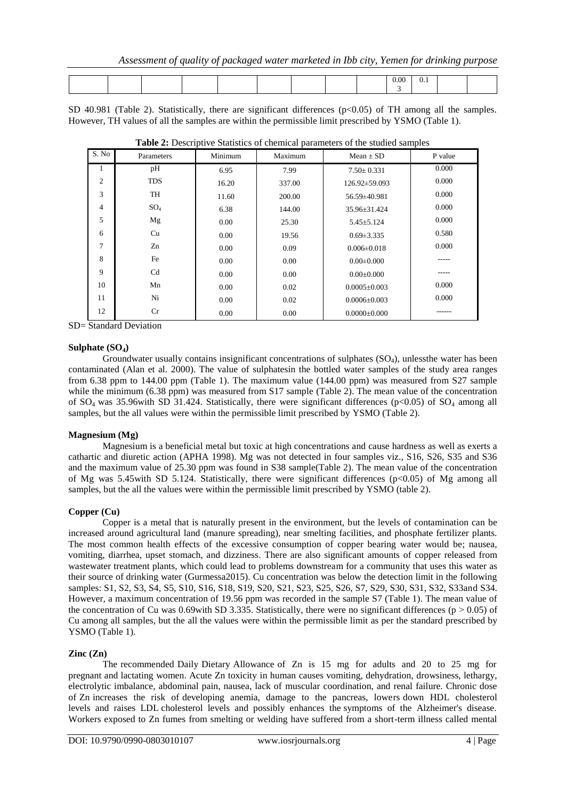|  |  |  |  | $\Omega$<br>. |  |  |
|--|--|--|--|---------------|--|--|
|  |  |  |  |               |  |  |

SD 40.981 (Table 2). Statistically, there are significant differences  $(p<0.05)$  of TH among all the samples. However, TH values of all the samples are within the permissible limit prescribed by YSMO (Table 1).

| S. No          | Parameters      | л.<br>Minimum | л.<br>Maximum | Mean $\pm$ SD      | P value |  |  |
|----------------|-----------------|---------------|---------------|--------------------|---------|--|--|
| 1              | pH              | 6.95          | 7.99          | $7.50 \pm 0.331$   | 0.000   |  |  |
| $\mathfrak{2}$ | <b>TDS</b>      | 16.20         | 337.00        | 126.92±59.093      | 0.000   |  |  |
| 3              | TH              | 11.60         | 200.00        | 56.59±40.981       | 0.000   |  |  |
| $\overline{4}$ | SO <sub>4</sub> | 6.38          | 144.00        | 35.96±31.424       | 0.000   |  |  |
| 5              | Mg              | 0.00          | 25.30         | $5.45 \pm 5.124$   | 0.000   |  |  |
| 6              | Cu              | 0.00          | 19.56         | $0.69 \pm 3.335$   | 0.580   |  |  |
| 7              | Zn              | 0.00          | 0.09          | $0.006 \pm 0.018$  | 0.000   |  |  |
| 8              | Fe              | 0.00          | 0.00          | $0.00 \pm 0.000$   |         |  |  |
| 9              | C <sub>d</sub>  | 0.00          | 0.00          | $0.00 \pm 0.000$   | -----   |  |  |
| 10             | Mn              | 0.00          | 0.02          | $0.0005 \pm 0.003$ | 0.000   |  |  |
| 11             | Ni              | 0.00          | 0.02          | $0.0006 \pm 0.003$ | 0.000   |  |  |
| 12             | Cr              | 0.00          | 0.00          | $0.0000 \pm 0.000$ |         |  |  |

**Table 2:** Descriptive Statistics of chemical parameters of the studied samples

SD= Standard Deviation

### **Sulphate (SO4)**

Groundwater usually contains insignificant concentrations of sulphates (SO4), unlessthe water has been contaminated (Alan et al. 2000). The value of sulphatesin the bottled water samples of the study area ranges from 6.38 ppm to 144.00 ppm (Table 1). The maximum value (144.00 ppm) was measured from S27 sample while the minimum (6.38 ppm) was measured from S17 sample (Table 2). The mean value of the concentration of  $SO_4$  was 35.96with SD 31.424. Statistically, there were significant differences (p<0.05) of  $SO_4$  among all samples, but the all values were within the permissible limit prescribed by YSMO (Table 2).

## **Magnesium (Mg)**

Magnesium is a beneficial metal but toxic at high concentrations and cause hardness as well as exerts a cathartic and diuretic action (APHA 1998). Mg was not detected in four samples viz., S16, S26, S35 and S36 and the maximum value of 25.30 ppm was found in S38 sample(Table 2). The mean value of the concentration of Mg was 5.45with SD 5.124. Statistically, there were significant differences ( $p<0.05$ ) of Mg among all samples, but the all the values were within the permissible limit prescribed by YSMO (table 2).

### **Copper (Cu)**

Copper is a metal that is naturally present in the environment, but the levels of contamination can be increased around agricultural land (manure spreading), near smelting facilities, and phosphate fertilizer plants. The most common health effects of the excessive consumption of copper bearing water would be; nausea, vomiting, diarrhea, upset stomach, and dizziness. There are also significant amounts of copper released from wastewater treatment plants, which could lead to problems downstream for a community that uses this water as their source of drinking water (Gurmessa2015). Cu concentration was below the detection limit in the following samples: S1, S2, S3, S4, S5, S10, S16, S18, S19, S20, S21, S23, S25, S26, S7, S29, S30, S31, S32, S33and S34. However, a maximum concentration of 19.56 ppm was recorded in the sample S7 (Table 1). The mean value of the concentration of Cu was 0.69with SD 3.335. Statistically, there were no significant differences ( $p > 0.05$ ) of Cu among all samples, but the all the values were within the permissible limit as per the standard prescribed by YSMO (Table 1).

## **Zinc (Zn)**

The recommended Daily Dietary Allowance of Zn is 15 mg for adults and 20 to 25 mg for pregnant and lactating women. Acute Zn toxicity in human causes vomiting, dehydration, drowsiness, lethargy, electrolytic imbalance, abdominal pain, nausea, lack of muscular coordination, and renal failure. Chronic dose of Zn increases the risk of developing anemia, damage to the pancreas, lowers down HDL cholesterol levels and raises LDL cholesterol levels and possibly enhances the symptoms of the Alzheimer's disease. Workers exposed to Zn fumes from smelting or welding have suffered from a short-term illness called mental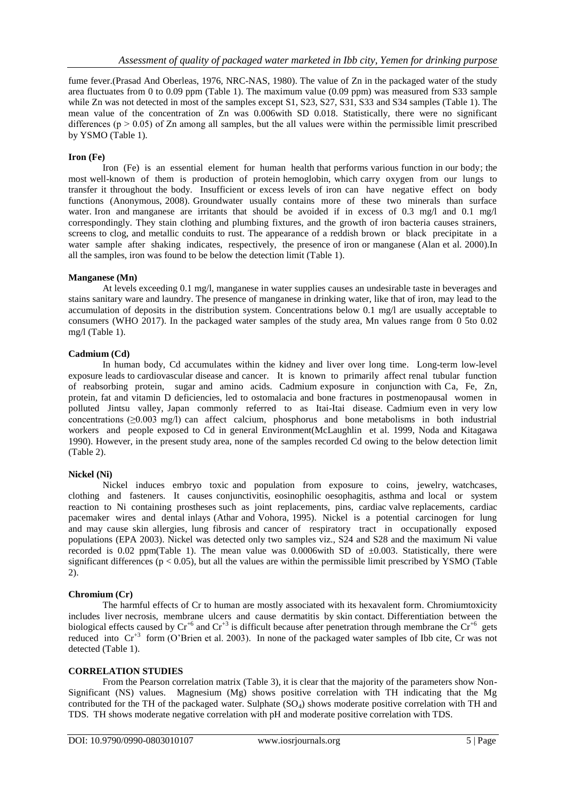fume fever.(Prasad And Oberleas, 1976, NRC-NAS, 1980). The value of Zn in the packaged water of the study area fluctuates from 0 to 0.09 ppm (Table 1). The maximum value (0.09 ppm) was measured from S33 sample while Zn was not detected in most of the samples except S1, S23, S27, S31, S33 and S34 samples (Table 1). The mean value of the concentration of Zn was 0.006with SD 0.018. Statistically, there were no significant differences ( $p > 0.05$ ) of Zn among all samples, but the all values were within the permissible limit prescribed by YSMO (Table 1).

## **Iron (Fe)**

Iron (Fe) is an essential element for human health that performs various function in our body; the most well-known of them is production of protein hemoglobin, which carry oxygen from our lungs to transfer it throughout the body. Insufficient or excess levels of iron can have negative effect on body functions (Anonymous, 2008). Groundwater usually contains more of these two minerals than surface water. Iron and manganese are irritants that should be avoided if in excess of 0.3 mg/l and 0.1 mg/l correspondingly. They stain clothing and plumbing fixtures, and the growth of iron bacteria causes strainers, screens to clog, and metallic conduits to rust. The appearance of a reddish brown or black precipitate in a water sample after shaking indicates, respectively, the presence of iron or manganese (Alan et al. 2000).In all the samples, iron was found to be below the detection limit (Table 1).

### **Manganese (Mn)**

At levels exceeding 0.1 mg/l, manganese in water supplies causes an undesirable taste in beverages and stains sanitary ware and laundry. The presence of manganese in drinking water, like that of iron, may lead to the accumulation of deposits in the distribution system. Concentrations below 0.1 mg/l are usually acceptable to consumers (WHO 2017). In the packaged water samples of the study area, Mn values range from 0 5to 0.02 mg/l (Table 1).

## **Cadmium (Cd)**

In human body, Cd accumulates within the kidney and liver over long time. Long-term low-level exposure leads to cardiovascular disease and cancer. It is known to primarily affect renal tubular function of reabsorbing protein, sugar and amino acids. Cadmium exposure in conjunction with Ca, Fe, Zn, protein, fat and vitamin D deficiencies, led to ostomalacia and bone fractures in postmenopausal women in polluted Jintsu valley, Japan commonly referred to as Itai-Itai disease. Cadmium even in very low concentrations (≥0.003 mg/l) can affect calcium, phosphorus and bone metabolisms in both industrial workers and people exposed to Cd in general Environment(McLaughlin et al. 1999, Noda and Kitagawa 1990). However, in the present study area, none of the samples recorded Cd owing to the below detection limit (Table 2).

### **Nickel (Ni)**

Nickel induces embryo toxic and population from exposure to coins, jewelry, watchcases, clothing and fasteners. It causes conjunctivitis, eosinophilic oesophagitis, asthma and local or system reaction to Ni containing prostheses such as joint replacements, pins, cardiac valve replacements, cardiac pacemaker wires and dental inlays (Athar and Vohora, 1995). Nickel is a potential carcinogen for lung and may cause skin allergies, lung fibrosis and cancer of respiratory tract in occupationally exposed populations (EPA 2003). Nickel was detected only two samples viz., S24 and S28 and the maximum Ni value recorded is 0.02 ppm(Table 1). The mean value was 0.0006with SD of  $\pm 0.003$ . Statistically, there were significant differences ( $p < 0.05$ ), but all the values are within the permissible limit prescribed by YSMO (Table 2).

### **Chromium (Cr)**

The harmful effects of Cr to human are mostly associated with its hexavalent form. Chromiumtoxicity includes liver necrosis, membrane ulcers and cause dermatitis by skin contact. Differentiation between the biological effects caused by  $Cr^{+6}$  and  $Cr^{+3}$  is difficult because after penetration through membrane the  $Cr^{+6}$  gets reduced into  $Cr^{+3}$  form (O'Brien et al. 2003). In none of the packaged water samples of Ibb cite, Cr was not detected (Table 1).

## **CORRELATION STUDIES**

From the Pearson correlation matrix (Table 3), it is clear that the majority of the parameters show Non-Significant (NS) values. Magnesium (Mg) shows positive correlation with TH indicating that the Mg contributed for the TH of the packaged water. Sulphate  $(SO_4)$  shows moderate positive correlation with TH and TDS. TH shows moderate negative correlation with pH and moderate positive correlation with TDS.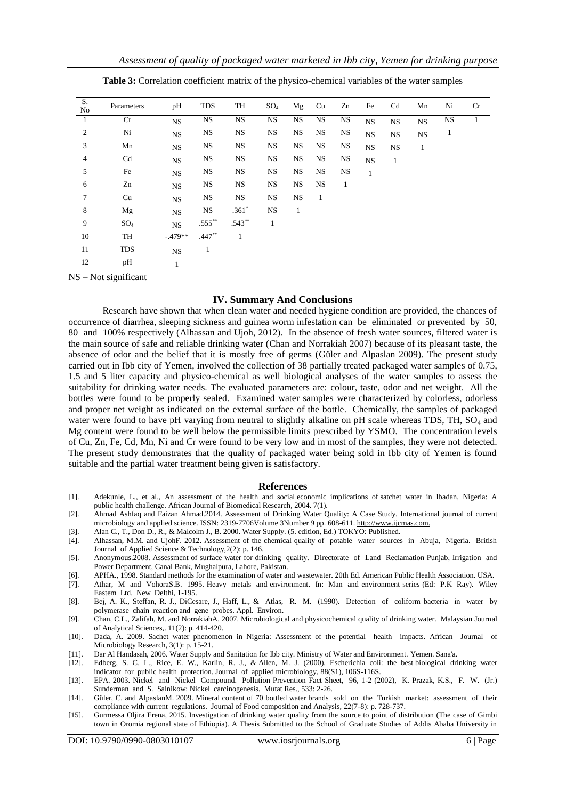| S.<br>No       | Parameters      | pH           | <b>TDS</b> | TH           | $SO_4$       | Mg           | Cu           | Zn           | Fe           | Cd           | Mn           | Ni        | Cr |
|----------------|-----------------|--------------|------------|--------------|--------------|--------------|--------------|--------------|--------------|--------------|--------------|-----------|----|
| -1             | Cr              | <b>NS</b>    | <b>NS</b>  | <b>NS</b>    | <b>NS</b>    | <b>NS</b>    | <b>NS</b>    | <b>NS</b>    | <b>NS</b>    | $_{\rm NS}$  | <b>NS</b>    | <b>NS</b> | 1  |
| $\overline{2}$ | Ni              | NS           | <b>NS</b>  | <b>NS</b>    | <b>NS</b>    | <b>NS</b>    | <b>NS</b>    | <b>NS</b>    | <b>NS</b>    | <b>NS</b>    | <b>NS</b>    | 1         |    |
| 3              | Mn              | NS           | <b>NS</b>  | <b>NS</b>    | <b>NS</b>    | <b>NS</b>    | <b>NS</b>    | NS           | <b>NS</b>    | <b>NS</b>    | $\mathbf{1}$ |           |    |
| $\overline{4}$ | Cd              | NS           | <b>NS</b>  | <b>NS</b>    | <b>NS</b>    | <b>NS</b>    | <b>NS</b>    | <b>NS</b>    | <b>NS</b>    | $\mathbf{1}$ |              |           |    |
| 5              | Fe              | NS           | <b>NS</b>  | <b>NS</b>    | <b>NS</b>    | <b>NS</b>    | <b>NS</b>    | <b>NS</b>    | $\mathbf{1}$ |              |              |           |    |
| 6              | Zn              | NS           | <b>NS</b>  | <b>NS</b>    | $_{\rm NS}$  | <b>NS</b>    | <b>NS</b>    | $\mathbf{1}$ |              |              |              |           |    |
| $\tau$         | Cu              | NS           | NS         | <b>NS</b>    | <b>NS</b>    | <b>NS</b>    | $\mathbf{1}$ |              |              |              |              |           |    |
| 8              | Mg              | NS           | <b>NS</b>  | $.361*$      | $_{\rm NS}$  | $\mathbf{1}$ |              |              |              |              |              |           |    |
| 9              | SO <sub>4</sub> | <b>NS</b>    | $.555***$  | $.543**$     | $\mathbf{1}$ |              |              |              |              |              |              |           |    |
| 10             | TH              | $-479**$     | $.447**$   | $\mathbf{1}$ |              |              |              |              |              |              |              |           |    |
| 11             | <b>TDS</b>      | NS           | 1          |              |              |              |              |              |              |              |              |           |    |
| 12             | pН              | $\mathbf{1}$ |            |              |              |              |              |              |              |              |              |           |    |

**Table 3:** Correlation coefficient matrix of the physico-chemical variables of the water samples

NS – Not significant

#### **IV. Summary And Conclusions**

Research have shown that when clean water and needed hygiene condition are provided, the chances of occurrence of diarrhea, sleeping sickness and guinea worm infestation can be eliminated or prevented by 50, 80 and 100% respectively (Alhassan and Ujoh, 2012). In the absence of fresh water sources, filtered water is the main source of safe and reliable drinking water (Chan and Norrakiah 2007) because of its pleasant taste, the absence of odor and the belief that it is mostly free of germs (Güler and Alpaslan 2009). The present study carried out in Ibb city of Yemen, involved the collection of 38 partially treated packaged water samples of 0.75, 1.5 and 5 liter capacity and physico-chemical as well biological analyses of the water samples to assess the suitability for drinking water needs. The evaluated parameters are: colour, taste, odor and net weight. All the bottles were found to be properly sealed. Examined water samples were characterized by colorless, odorless and proper net weight as indicated on the external surface of the bottle. Chemically, the samples of packaged water were found to have pH varying from neutral to slightly alkaline on pH scale whereas TDS, TH, SO<sub>4</sub> and Mg content were found to be well below the permissible limits prescribed by YSMO. The concentration levels of Cu, Zn, Fe, Cd, Mn, Ni and Cr were found to be very low and in most of the samples, they were not detected. The present study demonstrates that the quality of packaged water being sold in Ibb city of Yemen is found suitable and the partial water treatment being given is satisfactory.

#### **References**

- [1]. Adekunle, L., et al., An assessment of the health and social economic implications of satchet water in Ibadan, Nigeria: A public health challenge. African Journal of Biomedical Research, 2004. 7(1).
- [2]. Ahmad Ashfaq and Faizan Ahmad.2014. Assessment of Drinking Water Quality: A Case Study. International journal of current microbiology and applied science. ISSN: 2319-7706Volume 3Number 9 pp. 608-611[. http://www.ijcmas.com.](http://www.ijcmas.com/)
- [3]. Alan C., T., Don D., R., & Malcolm J., B. 2000. Water Supply. (5. edition, Ed.) TOKYO: Published.
- [4]. Alhassan, M.M. and UjohF. 2012. Assessment of the chemical quality of potable water sources in Abuja, Nigeria. British Journal of Applied Science & Technology,2(2): p. 146.
- [5]. Anonymous.2008. Assessment of surface water for drinking quality. Directorate of Land Reclamation Punjab, Irrigation and Power Department, Canal Bank, Mughalpura, Lahore, Pakistan.
- [6]. APHA., 1998. Standard methods for the examination of water and wastewater. 20th Ed. American Public Health Association. USA.
- [7]. Athar, M and VohoraS.B. 1995. Heavy metals and environment. In: Man and environment series (Ed: P.K Ray). Wiley Eastem Ltd. New Delthi, 1-195.
- [8]. Bej, A. K., Steffan, R. J., DiCesare, J., Haff, L., & Atlas, R. M. (1990). Detection of coliform bacteria in water by polymerase chain reaction and gene probes. Appl. Environ.
- [9]. Chan, C.L., Zalifah, M. and NorrakiahA. 2007. Microbiological and physicochemical quality of drinking water. Malaysian Journal of Analytical Sciences,. 11(2): p. 414-420.
- [10]. Dada, A. 2009. Sachet water phenomenon in Nigeria: Assessment of the potential health impacts. African Journal of Microbiology Research, 3(1): p. 15-21.
- [11]. Dar Al Handasah, 2006. Water Supply and Sanitation for Ibb city. Ministry of Water and Environment. Yemen. Sana'a.
- [12]. Edberg, S. C. L., Rice, E. W., Karlin, R. J., & Allen, M. J. (2000). Escherichia coli: the best biological drinking water indicator for public health protection. Journal of applied microbiology, 88(S1), 106S-116S.
- [13]. EPA. 2003. Nickel and Nickel Compound. Pollution Prevention Fact Sheet, 96, 1-2 (2002), K. Prazak, K.S., F. W. (Jr.) Sunderman and S. Salnikow: Nickel carcinogenesis. Mutat Res., 533: 2-26.
- [14]. Güler, C. and AlpaslanM. 2009. Mineral content of 70 bottled water brands sold on the Turkish market: assessment of their compliance with current regulations. Journal of Food composition and Analysis, 22(7-8): p. 728-737.
- [15]. Gurmessa Oljira Erena, 2015. Investigation of drinking water quality from the source to point of distribution (The case of Gimbi town in Oromia regional state of Ethiopia). A Thesis Submitted to the School of Graduate Studies of Addis Ababa University in